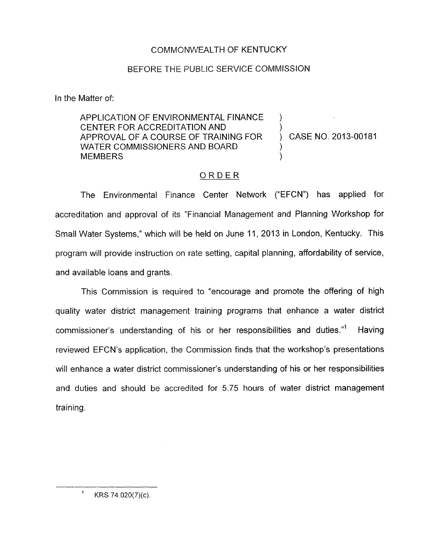## COMMONWEALTH OF KENTUCKY

## BEFORE THE PUBLIC SERVICE COMMISSION

In the Matter of:

APPLICATION OF ENVIRONMENTAL FINANCE ) CENTER FOR ACCREDITATION AND ) APPROVAL OF A COURSE OF TRAINING FOR WATER COMMISSIONERS AND BOARD **MEMBERS** 

) CASE NO. 2013-00181

## ORDER

The Environmental Finance Center Network ("EFCN") has applied for accreditation and approval of its "Financial Management and Planning Workshop for Small Water Systems,'' which will be held on June 11, 2013 in London, Kentucky. This program will provide instruction on rate setting, capital planning, affordability of service, and available loans and grants.

This Commission is required to "encourage and promote the offering of high quality water district management training programs that enhance a water district commissioner's understanding of his or her responsibilities and duties."' Having reviewed EFCN's application, the Commission finds that the workshop's presentations will enhance a water district commissioner's understanding of his or her responsibilities and duties and should be accredited for 5.75 hours of water district management training.

<sup>1</sup> KRS 74.020(7)(c).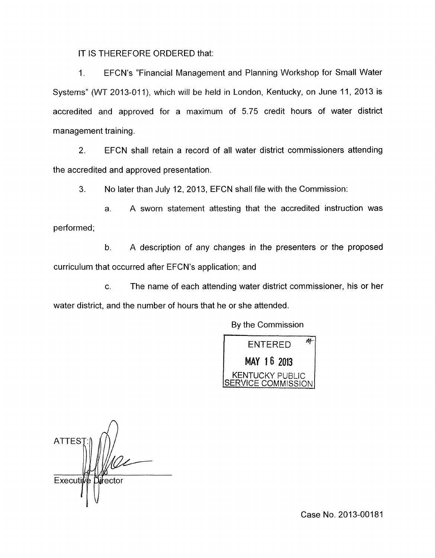IT IS THEREFORE ORDERED that:

1. EFCN's "Financial Management and Planning Workshop for Small Water Systems" (WT 2013-011), which will be held in London, Kentucky, on June 11, 2013 is accredited and approved for a maximum of 5.75 credit hours of water district management training.

2. EFCN shall retain a record of all water district commissioners attending the accredited and approved presentation.

3. No later than July 12, 2013, EFCN shall file with the Commission:

a. A sworn statement attesting that the accredited instruction was performed;

b. A description of any changes in the presenters or the proposed curriculum that occurred after EFCN's application; and

c. The name of each attending water district commissioner, his or her water district, and the number of hours that he or she attended.

By the Commission



 $\bigcap$ **ATTES** Director **Executive** 

Case No. 2013-00181